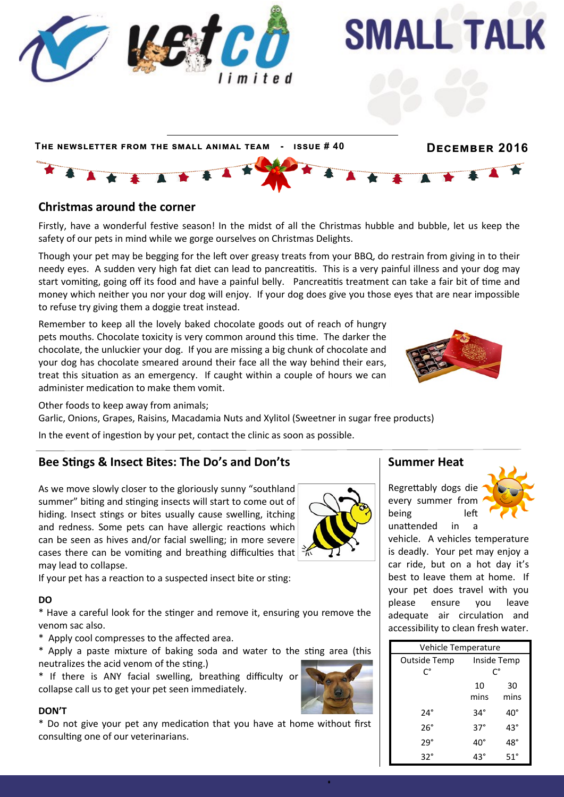

### **Christmas around the corner**

Firstly, have a wonderful festive season! In the midst of all the Christmas hubble and bubble, let us keep the safety of our pets in mind while we gorge ourselves on Christmas Delights.

Though your pet may be begging for the left over greasy treats from your BBQ, do restrain from giving in to their needy eyes. A sudden very high fat diet can lead to pancreatitis. This is a very painful illness and your dog may start vomiting, going off its food and have a painful belly. Pancreatitis treatment can take a fair bit of time and money which neither you nor your dog will enjoy. If your dog does give you those eyes that are near impossible to refuse try giving them a doggie treat instead.

Remember to keep all the lovely baked chocolate goods out of reach of hungry pets mouths. Chocolate toxicity is very common around this time. The darker the chocolate, the unluckier your dog. If you are missing a big chunk of chocolate and your dog has chocolate smeared around their face all the way behind their ears, treat this situation as an emergency. If caught within a couple of hours we can administer medication to make them vomit.



Other foods to keep away from animals;

Garlic, Onions, Grapes, Raisins, Macadamia Nuts and Xylitol (Sweetner in sugar free products)

In the event of ingestion by your pet, contact the clinic as soon as possible.

### **Bee Stings & Insect Bites: The Do's and Don'ts**

As we move slowly closer to the gloriously sunny "southland summer" biting and stinging insects will start to come out of hiding. Insect stings or bites usually cause swelling, itching and redness. Some pets can have allergic reactions which can be seen as hives and/or facial swelling; in more severe cases there can be vomiting and breathing difficulties that  $\frac{2}{10}$ may lead to collapse.

If your pet has a reaction to a suspected insect bite or sting:

#### **DO**

\* Have a careful look for the stinger and remove it, ensuring you remove the venom sac also.

\* Apply cool compresses to the affected area.

\* Apply a paste mixture of baking soda and water to the sting area (this neutralizes the acid venom of the sting.)

\* If there is ANY facial swelling, breathing difficulty or collapse call us to get your pet seen immediately.

#### **DON'T**

\* Do not give your pet any medication that you have at home without first consulting one of our veterinarians.

### **Summer Heat**

Regrettably dogs die every summer from being left unattended in a



vehicle. A vehicles temperature is deadly. Your pet may enjoy a car ride, but on a hot day it's best to leave them at home. If your pet does travel with you please ensure you leave adequate air circulation and accessibility to clean fresh water.

| Vehicle Temperature |             |            |
|---------------------|-------------|------------|
| Outside Temp        | Inside Temp |            |
| C°                  | C°          |            |
|                     | 10          | 30         |
|                     | mins        | mins       |
| 24°                 | 34°         | 40°        |
| 26°                 | $37^\circ$  | 43°        |
| 29°                 | 40°         | 48°        |
| $32^{\circ}$        | 43°         | $51^\circ$ |